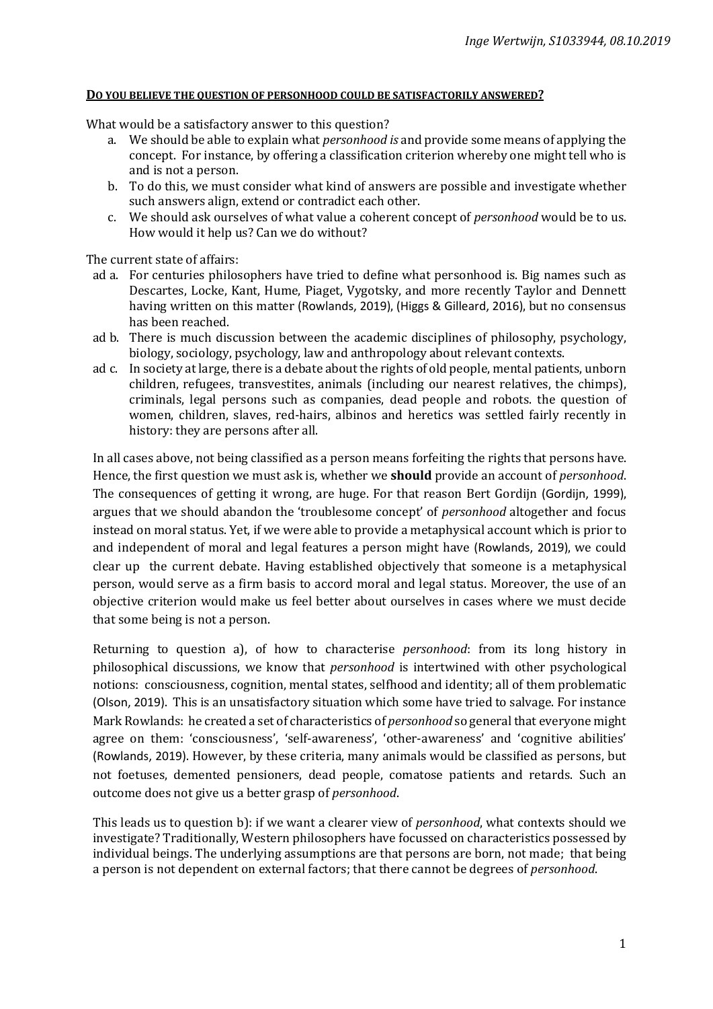## **DO YOU BELIEVE THE QUESTION OF PERSONHOOD COULD BE SATISFACTORILY ANSWERED?**

What would be a satisfactory answer to this question?

- a. We should be able to explain what *personhood is* and provide some means of applying the concept. For instance, by offering a classification criterion whereby one might tell who is and is not a person.
- b. To do this, we must consider what kind of answers are possible and investigate whether such answers align, extend or contradict each other.
- c. We should ask ourselves of what value a coherent concept of *personhood* would be to us. How would it help us? Can we do without?

The current state of affairs:

- ad a. For centuries philosophers have tried to define what personhood is. Big names such as Descartes, Locke, Kant, Hume, Piaget, Vygotsky, and more recently Taylor and Dennett having written on this matter (Rowlands, 2019), (Higgs & Gilleard, 2016), but no consensus has been reached.
- ad b. There is much discussion between the academic disciplines of philosophy, psychology, biology, sociology, psychology, law and anthropology about relevant contexts.
- ad c. In society at large, there is a debate about the rights of old people, mental patients, unborn children, refugees, transvestites, animals (including our nearest relatives, the chimps), criminals, legal persons such as companies, dead people and robots. the question of women, children, slaves, red-hairs, albinos and heretics was settled fairly recently in history: they are persons after all.

In all cases above, not being classified as a person means forfeiting the rights that persons have. Hence, the first question we must ask is, whether we **should** provide an account of *personhood*. The consequences of getting it wrong, are huge. For that reason Bert Gordijn (Gordijn, 1999), argues that we should abandon the 'troublesome concept' of *personhood* altogether and focus instead on moral status. Yet, if we were able to provide a metaphysical account which is prior to and independent of moral and legal features a person might have (Rowlands, 2019), we could clear up the current debate. Having established objectively that someone is a metaphysical person, would serve as a firm basis to accord moral and legal status. Moreover, the use of an objective criterion would make us feel better about ourselves in cases where we must decide that some being is not a person.

Returning to question a), of how to characterise *personhood*: from its long history in philosophical discussions, we know that *personhood* is intertwined with other psychological notions: consciousness, cognition, mental states, selfhood and identity; all of them problematic (Olson, 2019). This is an unsatisfactory situation which some have tried to salvage. For instance Mark Rowlands: he created a set of characteristics of *personhood* so general that everyone might agree on them: 'consciousness', 'self-awareness', 'other-awareness' and 'cognitive abilities' (Rowlands, 2019). However, by these criteria, many animals would be classified as persons, but not foetuses, demented pensioners, dead people, comatose patients and retards. Such an outcome does not give us a better grasp of *personhood*.

This leads us to question b): if we want a clearer view of *personhood*, what contexts should we investigate? Traditionally, Western philosophers have focussed on characteristics possessed by individual beings. The underlying assumptions are that persons are born, not made; that being a person is not dependent on external factors; that there cannot be degrees of *personhood*.